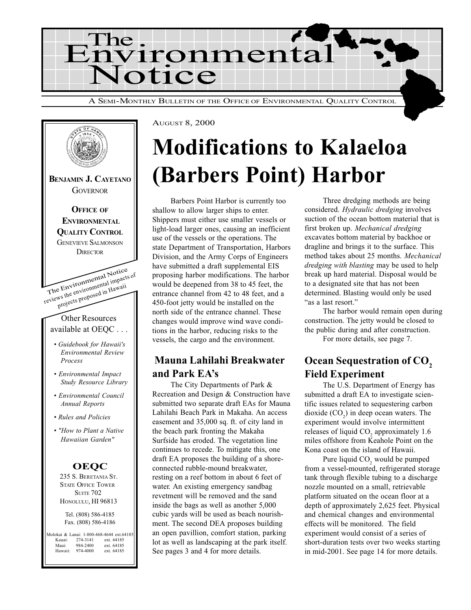

The Environmental Notice reviews the environmental impacts of projects proposed in Hawaii Other Resources available at OEQC . . . Guidebook for Hawaii's Environmental Review Process Environmental Impact Study Resource Library Environmental Council Annual Reports Rules and Policies "How to Plant a Native Hawaiian Garden" BENJAMIN J. CAYETANO **GOVERNOR OFFICE OF ENVIRONMENTAL** QUALITY CONTROL GENEVIEVE SALMONSON **DIRECTOR OEQC** 

> 235 S. BERETANIA ST. STATE OFFICE TOWER **SUITE 702** HONOLULU, HI 96813

Tel. (808) 586-4185 Fax. (808) 586-4186

Molokai & Lanai: 1-800-468-4644 ext.64185 Kauai: 274-3141 ext. 64185<br>Maui: 984-2400 ext. 64185 Maui: 984-2400 ext. 64185<br>Hawaii: 974-4000 ext. 64185 ext. 64185

AUGUST 8, 2000

# Modifications to Kalaeloa (Barbers Point) Harbor

Barbers Point Harbor is currently too shallow to allow larger ships to enter. Shippers must either use smaller vessels or light-load larger ones, causing an inefficient use of the vessels or the operations. The state Department of Transportation, Harbors Division, and the Army Corps of Engineers have submitted a draft supplemental EIS proposing harbor modifications. The harbor would be deepened from 38 to 45 feet, the entrance channel from 42 to 48 feet, and a 450-foot jetty would be installed on the north side of the entrance channel. These changes would improve wind wave conditions in the harbor, reducing risks to the vessels, the cargo and the environment.

## Mauna Lahilahi Breakwater and Park EA's

The City Departments of Park & Recreation and Design & Construction have submitted two separate draft EAs for Mauna Lahilahi Beach Park in Makaha. An access easement and 35,000 sq. ft. of city land in the beach park fronting the Makaha Surfside has eroded. The vegetation line continues to recede. To mitigate this, one draft EA proposes the building of a shoreconnected rubble-mound breakwater, resting on a reef bottom in about 6 feet of water. An existing emergency sandbag revetment will be removed and the sand inside the bags as well as another 5,000 cubic yards will be used as beach nourishment. The second DEA proposes building an open pavillion, comfort station, parking lot as well as landscaping at the park itself. See pages 3 and 4 for more details.

Three dredging methods are being considered. Hydraulic dredging involves suction of the ocean bottom material that is first broken up. Mechanical dredging excavates bottom material by backhoe or dragline and brings it to the surface. This method takes about 25 months. Mechanical dredging with blasting may be used to help break up hard material. Disposal would be to a designated site that has not been determined. Blasting would only be used "as a last resort."

The harbor would remain open during construction. The jetty would be closed to the public during and after construction.

For more details, see page 7.

## Ocean Sequestration of CO<sub>2</sub> Field Experiment

The U.S. Department of Energy has submitted a draft EA to investigate scientific issues related to sequestering carbon dioxide  $(CO_2)$  in deep ocean waters. The experiment would involve intermittent releases of liquid  $CO_2$  approximately 1.6 miles offshore from Keahole Point on the Kona coast on the island of Hawaii.

Pure liquid  $CO_2$  would be pumped from a vessel-mounted, refrigerated storage tank through flexible tubing to a discharge nozzle mounted on a small, retrievable platform situated on the ocean floor at a depth of approximately 2,625 feet. Physical and chemical changes and environmental effects will be monitored. The field experiment would consist of a series of short-duration tests over two weeks starting in mid-2001. See page 14 for more details.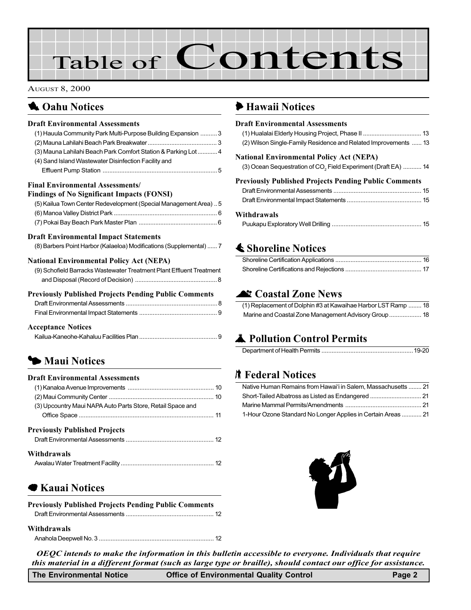# Table of Contents

AUGUST 8, 2000

# **1 Oahu Notices**

#### Draft Environmental Assessments

| (1) Hauula Community Park Multi-Purpose Building Expansion  3        |  |
|----------------------------------------------------------------------|--|
|                                                                      |  |
| (3) Mauna Lahilahi Beach Park Comfort Station & Parking Lot  4       |  |
| (4) Sand Island Wastewater Disinfection Facility and                 |  |
|                                                                      |  |
|                                                                      |  |
| Final Environmental Assessments/                                     |  |
| <b>Findings of No Significant Impacts (FONSI)</b>                    |  |
| (5) Kailua Town Center Redevelopment (Special Management Area)  5    |  |
|                                                                      |  |
|                                                                      |  |
|                                                                      |  |
| <b>Draft Environmental Impact Statements</b>                         |  |
| (8) Barbers Point Harbor (Kalaeloa) Modifications (Supplemental)  7  |  |
|                                                                      |  |
| <b>National Environmental Policy Act (NEPA)</b>                      |  |
| (9) Schofield Barracks Wastewater Treatment Plant Effluent Treatment |  |
|                                                                      |  |
| <b>Previously Published Projects Pending Public Comments</b>         |  |
|                                                                      |  |
|                                                                      |  |
|                                                                      |  |

#### Acceptance Notices

# **5 [Maui Notices](#page-9-0)**

#### Draft Environmental Assessments (1) Kanaloa Avenue Improvements [................................................... 10](#page-9-0) (2) Maui Community Center [.............................................................. 10](#page-9-0) [\(3\) Upcountry Maui NAPA Auto Parts Store, Retail Space and](#page-10-0) Office Space ................................................................................ 11 Previously Published Projects Draft Environmental Assessments [.................................................... 12](#page-11-0) Withdrawals Awalau Water Treatment Facility ....................................................... 12

## **Kauai Notices**

| <b>Previously Published Projects Pending Public Comments</b> |  |
|--------------------------------------------------------------|--|
|                                                              |  |

#### Withdrawals

Anahola Deepwell No. 3 [.................................................................... 12](#page-11-0)

### 6 [Hawaii Notices](#page-12-0)

| <b>Draft Environmental Assessments</b><br>(2) Wilson Single-Family Residence and Related Improvements  13 |
|-----------------------------------------------------------------------------------------------------------|
| <b>National Environmental Policy Act (NEPA)</b>                                                           |
| (3) Ocean Sequestration of CO <sub>2</sub> Field Experiment (Draft EA)  14                                |
| <b>Previously Published Projects Pending Public Comments</b>                                              |
|                                                                                                           |
|                                                                                                           |
|                                                                                                           |

# **≰ Shoreline Notices**

# **At Coastal Zone News**

| (1) Replacement of Dolphin #3 at Kawaihae Harbor LST Ramp  18 |  |
|---------------------------------------------------------------|--|
|                                                               |  |

# **A** Pollution Control Permits

# **K** Federal Notices

| Native Human Remains from Hawai'i in Salem, Massachusetts  21 |
|---------------------------------------------------------------|
|                                                               |
|                                                               |
| 1-Hour Ozone Standard No Longer Applies in Certain Areas  21  |



OEQC intends to make the information in this bulletin accessible to everyone. Individuals that require this material in a different format (such as large type or braille), should contact our office for assistance.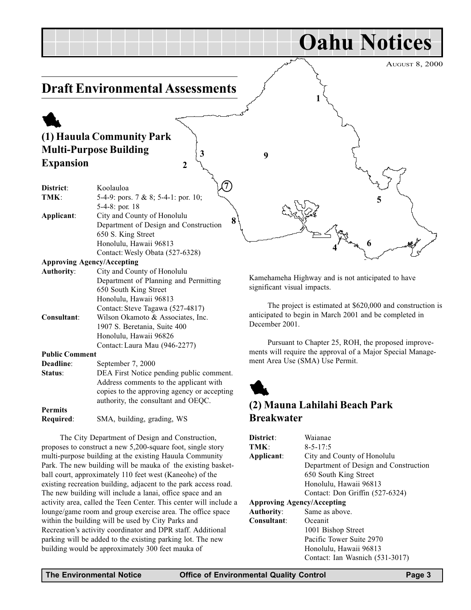#### <span id="page-2-0"></span>AUGUST 8, 2000 Oahu Notices Draft Environmental Assessments 1 (1) Hauula Community Park Multi-Purpose Building Expansion District: Koolauloa TMK: 5-4-9: pors. 7 & 8; 5-4-1: por. 10; 5-4-8: por. 18 Applicant: City and County of Honolulu Department of Design and Construction 650 S. King Street Honolulu, Hawaii 96813 Contact:Wesly Obata (527-6328) Approving Agency/Accepting Authority: City and County of Honolulu Department of Planning and Permitting 650 South King Street Kamehameha Highway and is not anticipated to have significant visual impacts. 1 5 6 8 3 2 9 4 7

The project is estimated at \$620,000 and construction is anticipated to begin in March 2001 and be completed in December 2001.

Pursuant to Chapter 25, ROH, the proposed improvements will require the approval of a Major Special Management Area Use (SMA) Use Permit.

# 1 (2) Mauna Lahilahi Beach Park Breakwater

| District:                         | Waianae                               |
|-----------------------------------|---------------------------------------|
| TMK:                              | $8 - 5 - 17:5$                        |
| Applicant:                        | City and County of Honolulu           |
|                                   | Department of Design and Construction |
|                                   | 650 South King Street                 |
|                                   | Honolulu, Hawaii 96813                |
|                                   | Contact: Don Griffin (527-6324)       |
| <b>Approving Agency/Accepting</b> |                                       |
| <b>Authority:</b>                 | Same as above.                        |
| Consultant:                       | Oceanit                               |
|                                   |                                       |
|                                   | 1001 Bishop Street                    |
|                                   | Pacific Tower Suite 2970              |
|                                   | Honolulu, Hawaii 96813                |
|                                   | Contact: Ian Wasnich (531-3017)       |

| TMK:                              | 5-4-9: pors. 7 & 8; 5-4-1: por. 10;   |
|-----------------------------------|---------------------------------------|
|                                   | 5-4-8: por. 18                        |
| Applicant:                        | City and County of Honolulu           |
|                                   | Department of Design and Construction |
|                                   | 650 S. King Street                    |
|                                   | Honolulu, Hawaii 96813                |
|                                   | Contact: Wesly Obata (527-6328)       |
| <b>Approving Agency/Accepting</b> |                                       |
| <b>Authority:</b>                 | City and County of Honolulu           |
|                                   | Department of Planning and Permitting |
|                                   | 650 South King Street                 |
|                                   | Honolulu, Hawaii 96813                |
|                                   | Contact: Steve Tagawa (527-4817)      |
| Consultant:                       | Wilson Okamoto & Associates, Inc.     |
|                                   | 1907 S. Beretania, Suite 400          |
|                                   | Honolulu, Hawaii 96826                |
|                                   | Contact: Laura Mau (946-2277)         |
| <b>Public Comment</b>             |                                       |
| Deadline:                         | September 7, 2000                     |
|                                   |                                       |

| Status:        | DEA First Notice pending public comment.    |
|----------------|---------------------------------------------|
|                | Address comments to the applicant with      |
|                | copies to the approving agency or accepting |
|                | authority, the consultant and OEOC.         |
| <b>Permits</b> |                                             |
| Required:      | SMA, building, grading, WS                  |

The City Department of Design and Construction, proposes to construct a new 5,200-square foot, single story multi-purpose building at the existing Hauula Community Park. The new building will be mauka of the existing basketball court, approximately 110 feet west (Kaneohe) of the existing recreation building, adjacent to the park access road. The new building will include a lanai, office space and an activity area, called the Teen Center. This center will include a lounge/game room and group exercise area. The office space within the building will be used by City Parks and Recreation's activity coordinator and DPR staff. Additional parking will be added to the existing parking lot. The new building would be approximately 300 feet mauka of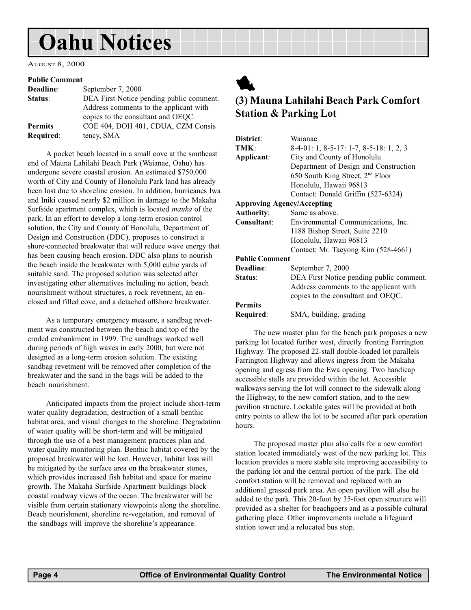# <span id="page-3-0"></span>Oahu Notices

AUGUST 8, 2000

#### Public Comment

| Deadline:      | September 7, 2000                        |
|----------------|------------------------------------------|
| Status:        | DEA First Notice pending public comment. |
|                | Address comments to the applicant with   |
|                | copies to the consultant and OEQC.       |
| <b>Permits</b> | COE 404, DOH 401, CDUA, CZM Consis       |
| Required:      | tency, SMA                               |

A pocket beach located in a small cove at the southeast end of Mauna Lahilahi Beach Park (Waianae, Oahu) has undergone severe coastal erosion. An estimated \$750,000 worth of City and County of Honolulu Park land has already been lost due to shoreline erosion. In addition, hurricanes Iwa and Iniki caused nearly \$2 million in damage to the Makaha Surfside apartment complex, which is located mauka of the park. In an effort to develop a long-term erosion control solution, the City and County of Honolulu, Department of Design and Construction (DDC), proposes to construct a shore-connected breakwater that will reduce wave energy that has been causing beach erosion. DDC also plans to nourish the beach inside the breakwater with 5,000 cubic yards of suitable sand. The proposed solution was selected after investigating other alternatives including no action, beach nourishment without structures, a rock revetment, an enclosed and filled cove, and a detached offshore breakwater.

As a temporary emergency measure, a sandbag revetment was constructed between the beach and top of the eroded embankment in 1999. The sandbags worked well during periods of high waves in early 2000, but were not designed as a long-term erosion solution. The existing sandbag revetment will be removed after completion of the breakwater and the sand in the bags will be added to the beach nourishment.

Anticipated impacts from the project include short-term water quality degradation, destruction of a small benthic habitat area, and visual changes to the shoreline. Degradation of water quality will be short-term and will be mitigated through the use of a best management practices plan and water quality monitoring plan. Benthic habitat covered by the proposed breakwater will be lost. However, habitat loss will be mitigated by the surface area on the breakwater stones, which provides increased fish habitat and space for marine growth. The Makaha Surfside Apartment buildings block coastal roadway views of the ocean. The breakwater will be visible from certain stationary viewpoints along the shoreline. Beach nourishment, shoreline re-vegetation, and removal of the sandbags will improve the shoreline's appearance.



## (3) Mauna Lahilahi Beach Park Comfort Station & Parking Lot

| District:                         | Waianae                                      |
|-----------------------------------|----------------------------------------------|
| TMK:                              | 8-4-01: 1, 8-5-17: 1-7, 8-5-18: 1, 2, 3      |
| Applicant:                        | City and County of Honolulu                  |
|                                   | Department of Design and Construction        |
|                                   | 650 South King Street, 2 <sup>nd</sup> Floor |
|                                   | Honolulu, Hawaii 96813                       |
|                                   | Contact: Donald Griffin (527-6324)           |
| <b>Approving Agency/Accepting</b> |                                              |
| <b>Authority:</b>                 | Same as above.                               |
| Consultant:                       | Environmental Communications, Inc.           |
|                                   | 1188 Bishop Street, Suite 2210               |
|                                   | Honolulu, Hawaii 96813                       |
|                                   | Contact: Mr. Taeyong Kim (528-4661)          |
| <b>Public Comment</b>             |                                              |
| Deadline:                         | September 7, 2000                            |
| Status:                           | DEA First Notice pending public comment.     |
|                                   | Address comments to the applicant with       |
|                                   | copies to the consultant and OEQC.           |
| <b>Permits</b>                    |                                              |
| Required:                         | SMA, building, grading                       |
|                                   |                                              |

The new master plan for the beach park proposes a new parking lot located further west, directly fronting Farrington Highway. The proposed 22-stall double-loaded lot parallels Farrington Highway and allows ingress from the Makaha opening and egress from the Ewa opening. Two handicap accessible stalls are provided within the lot. Accessible walkways serving the lot will connect to the sidewalk along the Highway, to the new comfort station, and to the new pavilion structure. Lockable gates will be provided at both entry points to allow the lot to be secured after park operation hours.

The proposed master plan also calls for a new comfort station located immediately west of the new parking lot. This location provides a more stable site improving accessibility to the parking lot and the central portion of the park. The old comfort station will be removed and replaced with an additional grassed park area. An open pavilion will also be added to the park. This 20-foot by 35-foot open structure will provided as a shelter for beachgoers and as a possible cultural gathering place. Other improvements include a lifeguard station tower and a relocated bus stop.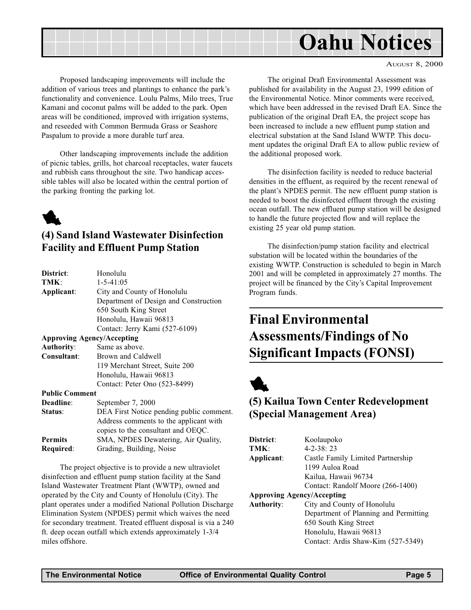<span id="page-4-0"></span>

Proposed landscaping improvements will include the addition of various trees and plantings to enhance the park's functionality and convenience. Loulu Palms, Milo trees, True Kamani and coconut palms will be added to the park. Open areas will be conditioned, improved with irrigation systems, and reseeded with Common Bermuda Grass or Seashore Paspalum to provide a more durable turf area.

Other landscaping improvements include the addition of picnic tables, grills, hot charcoal receptacles, water faucets and rubbish cans throughout the site. Two handicap accessible tables will also be located within the central portion of the parking fronting the parking lot.



### (4) Sand Island Wastewater Disinfection Facility and Effluent Pump Station

| District:             | Honolulu                                 |
|-----------------------|------------------------------------------|
| TMK:                  | $1 - 5 - 41:05$                          |
| Applicant:            | City and County of Honolulu              |
|                       | Department of Design and Construction    |
|                       | 650 South King Street                    |
|                       | Honolulu, Hawaii 96813                   |
|                       | Contact: Jerry Kami (527-6109)           |
|                       | <b>Approving Agency/Accepting</b>        |
| <b>Authority:</b>     | Same as above.                           |
| Consultant:           | Brown and Caldwell                       |
|                       | 119 Merchant Street, Suite 200           |
|                       | Honolulu, Hawaii 96813                   |
|                       | Contact: Peter Ono (523-8499)            |
| <b>Public Comment</b> |                                          |
| Deadline:             | September 7, 2000                        |
| Status:               | DEA First Notice pending public comment. |
|                       | Address comments to the applicant with   |
|                       | copies to the consultant and OEQC.       |
| <b>Permits</b>        | SMA, NPDES Dewatering, Air Quality,      |
| Required:             | Grading, Building, Noise                 |

The project objective is to provide a new ultraviolet disinfection and effluent pump station facility at the Sand Island Wastewater Treatment Plant (WWTP), owned and operated by the City and County of Honolulu (City). The plant operates under a modified National Pollution Discharge Elimination System (NPDES) permit which waives the need for secondary treatment. Treated effluent disposal is via a 240 ft. deep ocean outfall which extends approximately 1-3/4 miles offshore.

The original Draft Environmental Assessment was published for availability in the August 23, 1999 edition of the Environmental Notice. Minor comments were received, which have been addressed in the revised Draft EA. Since the publication of the original Draft EA, the project scope has been increased to include a new effluent pump station and electrical substation at the Sand Island WWTP. This document updates the original Draft EA to allow public review of the additional proposed work.

The disinfection facility is needed to reduce bacterial densities in the effluent, as required by the recent renewal of the plant's NPDES permit. The new effluent pump station is needed to boost the disinfected effluent through the existing ocean outfall. The new effluent pump station will be designed to handle the future projected flow and will replace the existing 25 year old pump station.

The disinfection/pump station facility and electrical substation will be located within the boundaries of the existing WWTP. Construction is scheduled to begin in March 2001 and will be completed in approximately 27 months. The project will be financed by the City's Capital Improvement Program funds.

# Final Environmental Assessments/Findings of No Significant Impacts (FONSI)



# (5) Kailua Town Center Redevelopment (Special Management Area)

| District:                         | Koolaupoko                            |
|-----------------------------------|---------------------------------------|
| TMK:                              | $4 - 2 - 38:23$                       |
| Applicant:                        | Castle Family Limited Partnership     |
|                                   | 1199 Auloa Road                       |
|                                   | Kailua, Hawaii 96734                  |
|                                   | Contact: Randolf Moore (266-1400)     |
| <b>Approving Agency/Accepting</b> |                                       |
| <b>Authority:</b>                 | City and County of Honolulu           |
|                                   | Department of Planning and Permitting |
|                                   | 650 South King Street                 |
|                                   | Honolulu, Hawaii 96813                |
|                                   | Contact: Ardis Shaw-Kim (527-5349)    |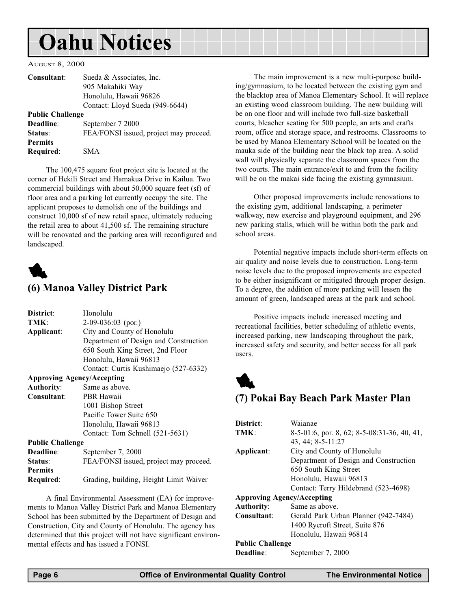# <span id="page-5-0"></span>Oahu Notices

#### AUGUST 8, 2000

| Consultant:             | Sueda & Associates, Inc.               |
|-------------------------|----------------------------------------|
|                         | 905 Makahiki Way                       |
|                         | Honolulu, Hawaii 96826                 |
|                         | Contact: Lloyd Sueda (949-6644)        |
| <b>Public Challenge</b> |                                        |
| Deadline:               | September 7 2000                       |
| Status:                 | FEA/FONSI issued, project may proceed. |
| <b>Permits</b>          |                                        |
| Required:               | SMA                                    |

The 100,475 square foot project site is located at the corner of Hekili Street and Hamakua Drive in Kailua. Two commercial buildings with about 50,000 square feet (sf) of floor area and a parking lot currently occupy the site. The applicant proposes to demolish one of the buildings and construct 10,000 sf of new retail space, ultimately reducing the retail area to about 41,500 sf. The remaining structure will be renovated and the parking area will reconfigured and landscaped.



### (6) Manoa Valley District Park

| District:                         | Honolulu                               |  |
|-----------------------------------|----------------------------------------|--|
| TMK:                              | $2-09-036:03$ (por.)                   |  |
| Applicant:                        | City and County of Honolulu            |  |
|                                   | Department of Design and Construction  |  |
|                                   | 650 South King Street, 2nd Floor       |  |
|                                   | Honolulu, Hawaii 96813                 |  |
|                                   | Contact: Curtis Kushimaejo (527-6332)  |  |
| <b>Approving Agency/Accepting</b> |                                        |  |
| <b>Authority:</b>                 | Same as above.                         |  |
| Consultant:                       | PBR Hawaii                             |  |
|                                   | 1001 Bishop Street                     |  |
|                                   | Pacific Tower Suite 650                |  |
|                                   | Honolulu, Hawaii 96813                 |  |
|                                   | Contact: Tom Schnell (521-5631)        |  |
| <b>Public Challenge</b>           |                                        |  |
| Deadline:                         | September 7, 2000                      |  |
| Status:                           | FEA/FONSI issued, project may proceed. |  |
| <b>Permits</b>                    |                                        |  |
| Required:                         | Grading, building, Height Limit Waiver |  |

A final Environmental Assessment (EA) for improvements to Manoa Valley District Park and Manoa Elementary School has been submitted by the Department of Design and Construction, City and County of Honolulu. The agency has determined that this project will not have significant environmental effects and has issued a FONSI.

The main improvement is a new multi-purpose building/gymnasium, to be located between the existing gym and the blacktop area of Manoa Elementary School. It will replace an existing wood classroom building. The new building will be on one floor and will include two full-size basketball courts, bleacher seating for 500 people, an arts and crafts room, office and storage space, and restrooms. Classrooms to be used by Manoa Elementary School will be located on the mauka side of the building near the black top area. A solid wall will physically separate the classroom spaces from the two courts. The main entrance/exit to and from the facility will be on the makai side facing the existing gymnasium.

Other proposed improvements include renovations to the existing gym, additional landscaping, a perimeter walkway, new exercise and playground equipment, and 296 new parking stalls, which will be within both the park and school areas.

Potential negative impacts include short-term effects on air quality and noise levels due to construction. Long-term noise levels due to the proposed improvements are expected to be either insignificant or mitigated through proper design. To a degree, the addition of more parking will lessen the amount of green, landscaped areas at the park and school.

Positive impacts include increased meeting and recreational facilities, better scheduling of athletic events, increased parking, new landscaping throughout the park, increased safety and security, and better access for all park users.



### (7) Pokai Bay Beach Park Master Plan

| Waianae                                        |
|------------------------------------------------|
| $8-5-01:6$ , por. 8, 62; 8-5-08:31-36, 40, 41, |
| 43, 44; 8-5-11:27                              |
| City and County of Honolulu                    |
| Department of Design and Construction          |
| 650 South King Street                          |
| Honolulu, Hawaii 96813                         |
| Contact: Terry Hildebrand (523-4698)           |
| <b>Approving Agency/Accepting</b>              |
| Same as above.                                 |
| Gerald Park Urban Planner (942-7484)           |
| 1400 Rycroft Street, Suite 876                 |
| Honolulu, Hawaii 96814                         |
| <b>Public Challenge</b>                        |
| September 7, 2000                              |
|                                                |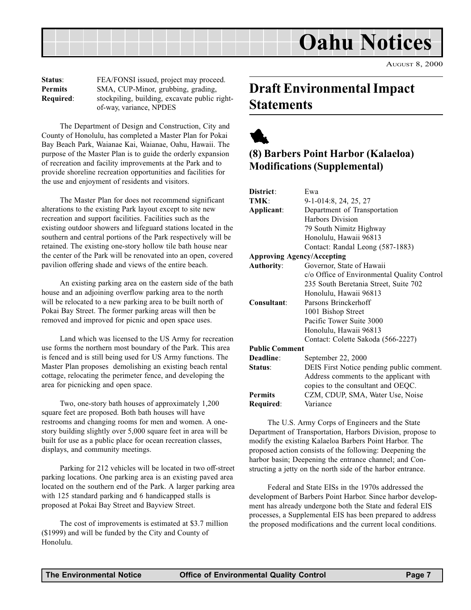<span id="page-6-0"></span>

| Status:          | FEA/FONSI issued, project may proceed.        |  |
|------------------|-----------------------------------------------|--|
| <b>Permits</b>   | SMA, CUP-Minor, grubbing, grading,            |  |
| <b>Required:</b> | stockpiling, building, excavate public right- |  |
|                  | of-way, variance, NPDES                       |  |

The Department of Design and Construction, City and County of Honolulu, has completed a Master Plan for Pokai Bay Beach Park, Waianae Kai, Waianae, Oahu, Hawaii. The purpose of the Master Plan is to guide the orderly expansion of recreation and facility improvements at the Park and to provide shoreline recreation opportunities and facilities for the use and enjoyment of residents and visitors.

The Master Plan for does not recommend significant alterations to the existing Park layout except to site new recreation and support facilities. Facilities such as the existing outdoor showers and lifeguard stations located in the southern and central portions of the Park respectively will be retained. The existing one-story hollow tile bath house near the center of the Park will be renovated into an open, covered pavilion offering shade and views of the entire beach.

An existing parking area on the eastern side of the bath house and an adjoining overflow parking area to the north will be relocated to a new parking area to be built north of Pokai Bay Street. The former parking areas will then be removed and improved for picnic and open space uses.

Land which was licensed to the US Army for recreation use forms the northern most boundary of the Park. This area is fenced and is still being used for US Army functions. The Master Plan proposes demolishing an existing beach rental cottage, relocating the perimeter fence, and developing the area for picnicking and open space.

Two, one-story bath houses of approximately 1,200 square feet are proposed. Both bath houses will have restrooms and changing rooms for men and women. A onestory building slightly over 5,000 square feet in area will be built for use as a public place for ocean recreation classes, displays, and community meetings.

Parking for 212 vehicles will be located in two off-street parking locations. One parking area is an existing paved area located on the southern end of the Park. A larger parking area with 125 standard parking and 6 handicapped stalls is proposed at Pokai Bay Street and Bayview Street.

The cost of improvements is estimated at \$3.7 million (\$1999) and will be funded by the City and County of Honolulu.

# Draft Environmental Impact **Statements**

# 1 (8) Barbers Point Harbor (Kalaeloa) Modifications (Supplemental)

| District:                         | Ewa                                         |
|-----------------------------------|---------------------------------------------|
| TMK:                              | 9-1-014:8, 24, 25, 27                       |
| Applicant:                        | Department of Transportation                |
|                                   | Harbors Division                            |
|                                   | 79 South Nimitz Highway                     |
|                                   | Honolulu, Hawaii 96813                      |
|                                   | Contact: Randal Leong (587-1883)            |
| <b>Approving Agency/Accepting</b> |                                             |
| <b>Authority:</b>                 | Governor, State of Hawaii                   |
|                                   | c/o Office of Environmental Quality Control |
|                                   | 235 South Beretania Street, Suite 702       |
|                                   | Honolulu, Hawaii 96813                      |
| Consultant:                       | Parsons Brinckerhoff                        |
|                                   | 1001 Bishop Street                          |
|                                   | Pacific Tower Suite 3000                    |
|                                   | Honolulu, Hawaii 96813                      |
|                                   | Contact: Colette Sakoda (566-2227)          |
| <b>Public Comment</b>             |                                             |
| Deadline:                         | September 22, 2000                          |
| Status:                           | DEIS First Notice pending public comment.   |
|                                   | Address comments to the applicant with      |
|                                   | copies to the consultant and OEQC.          |
| <b>Permits</b>                    | CZM, CDUP, SMA, Water Use, Noise            |
| Required:                         | Variance                                    |

The U.S. Army Corps of Engineers and the State Department of Transportation, Harbors Division, propose to modify the existing Kalaeloa Barbers Point Harbor. The proposed action consists of the following: Deepening the harbor basin; Deepening the entrance channel; and Constructing a jetty on the north side of the harbor entrance.

Federal and State EISs in the 1970s addressed the development of Barbers Point Harbor. Since harbor development has already undergone both the State and federal EIS processes, a Supplemental EIS has been prepared to address the proposed modifications and the current local conditions.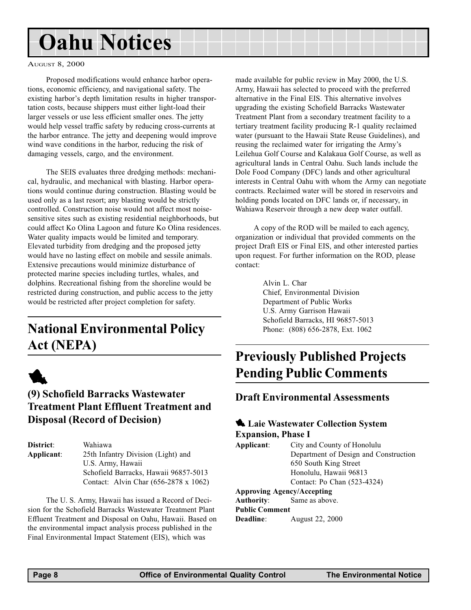# <span id="page-7-0"></span>Oahu Notices

#### AUGUST 8, 2000

Proposed modifications would enhance harbor operations, economic efficiency, and navigational safety. The existing harbor's depth limitation results in higher transportation costs, because shippers must either light-load their larger vessels or use less efficient smaller ones. The jetty would help vessel traffic safety by reducing cross-currents at the harbor entrance. The jetty and deepening would improve wind wave conditions in the harbor, reducing the risk of damaging vessels, cargo, and the environment.

The SEIS evaluates three dredging methods: mechanical, hydraulic, and mechanical with blasting. Harbor operations would continue during construction. Blasting would be used only as a last resort; any blasting would be strictly controlled. Construction noise would not affect most noisesensitive sites such as existing residential neighborhoods, but could affect Ko Olina Lagoon and future Ko Olina residences. Water quality impacts would be limited and temporary. Elevated turbidity from dredging and the proposed jetty would have no lasting effect on mobile and sessile animals. Extensive precautions would minimize disturbance of protected marine species including turtles, whales, and dolphins. Recreational fishing from the shoreline would be restricted during construction, and public access to the jetty would be restricted after project completion for safety.

# National Environmental Policy Act (NEPA)



## (9) Schofield Barracks Wastewater Treatment Plant Effluent Treatment and Disposal (Record of Decision)

| District:  | Wahiawa                               |
|------------|---------------------------------------|
| Applicant: | 25th Infantry Division (Light) and    |
|            | U.S. Army, Hawaii                     |
|            | Schofield Barracks, Hawaii 96857-5013 |
|            | Contact: Alvin Char (656-2878 x 1062) |

The U. S. Army, Hawaii has issued a Record of Decision for the Schofield Barracks Wastewater Treatment Plant Effluent Treatment and Disposal on Oahu, Hawaii. Based on the environmental impact analysis process published in the Final Environmental Impact Statement (EIS), which was

made available for public review in May 2000, the U.S. Army, Hawaii has selected to proceed with the preferred alternative in the Final EIS. This alternative involves upgrading the existing Schofield Barracks Wastewater Treatment Plant from a secondary treatment facility to a tertiary treatment facility producing R-1 quality reclaimed water (pursuant to the Hawaii State Reuse Guidelines), and reusing the reclaimed water for irrigating the Army's Leilehua Golf Course and Kalakaua Golf Course, as well as agricultural lands in Central Oahu. Such lands include the Dole Food Company (DFC) lands and other agricultural interests in Central Oahu with whom the Army can negotiate contracts. Reclaimed water will be stored in reservoirs and holding ponds located on DFC lands or, if necessary, in Wahiawa Reservoir through a new deep water outfall.

A copy of the ROD will be mailed to each agency, organization or individual that provided comments on the project Draft EIS or Final EIS, and other interested parties upon request. For further information on the ROD, please contact:

> Alvin L. Char Chief, Environmental Division Department of Public Works U.S. Army Garrison Hawaii Schofield Barracks, HI 96857-5013 Phone: (808) 656-2878, Ext. 1062

# Previously Published Projects Pending Public Comments

### Draft Environmental Assessments

### **1.** Laie Wastewater Collection System Expansion, Phase I

Applicant: City and County of Honolulu Department of Design and Construction 650 South King Street Honolulu, Hawaii 96813 Contact: Po Chan (523-4324)

#### Approving Agency/Accepting

Authority: Same as above. Public Comment Deadline: August 22, 2000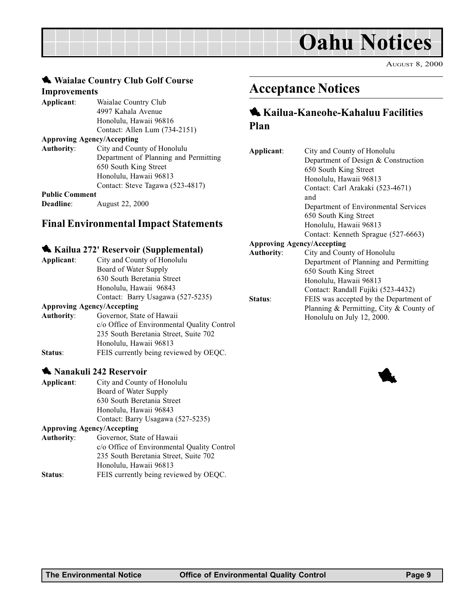<span id="page-8-0"></span>

|                                                         | Waialae Country Club Golf Course                                                                                                                                                                                                                                    |                                                             |                                                                                      |
|---------------------------------------------------------|---------------------------------------------------------------------------------------------------------------------------------------------------------------------------------------------------------------------------------------------------------------------|-------------------------------------------------------------|--------------------------------------------------------------------------------------|
| <b>Improvements</b>                                     |                                                                                                                                                                                                                                                                     | <b>Acceptance N</b>                                         |                                                                                      |
| Applicant:                                              | Waialae Country Club<br>4997 Kahala Avenue<br>Honolulu, Hawaii 96816<br>Contact: Allen Lum (734-2151)                                                                                                                                                               | <b>Kailua-Kaneo</b><br>Plan                                 |                                                                                      |
| <b>Authority:</b><br><b>Public Comment</b><br>Deadline: | <b>Approving Agency/Accepting</b><br>City and County of Honolulu<br>Department of Planning and Permitting<br>650 South King Street<br>Honolulu, Hawaii 96813<br>Contact: Steve Tagawa (523-4817)<br>August 22, 2000<br><b>Final Environmental Impact Statements</b> | Applicant:                                                  | City ar<br>Depart<br>650 So<br>Honolu<br>Contac<br>and<br>Depart<br>650 So<br>Honolu |
| Applicant:                                              | Kailua 272' Reservoir (Supplemental)<br>City and County of Honolulu<br>Board of Water Supply<br>630 South Beretania Street<br>Honolulu, Hawaii 96843<br>Contact: Barry Usagawa (527-5235)<br><b>Approving Agency/Accepting</b>                                      | <b>Approving Agency/Acc</b><br><b>Authority:</b><br>Status: | Contac<br>City ar<br>Depart<br>650 So<br>Honolu<br>Contac<br>FEIS w                  |
|                                                         |                                                                                                                                                                                                                                                                     |                                                             | Plannin                                                                              |

|                                                | $A$ pproving $A$ gency/ $A$ ccepung         |  |
|------------------------------------------------|---------------------------------------------|--|
| <b>Authority:</b><br>Governor, State of Hawaii |                                             |  |
|                                                | c/o Office of Environmental Quality Control |  |
|                                                | 235 South Beretania Street, Suite 702       |  |
|                                                | Honolulu, Hawaii 96813                      |  |
| Status:                                        | FEIS currently being reviewed by OEQC.      |  |

#### **1 Nanakuli 242 Reservoir**

| Applicant:        | City and County of Honolulu             |
|-------------------|-----------------------------------------|
|                   | Board of Water Supply                   |
|                   | 630 South Beretania Street              |
|                   | Honolulu, Hawaii 96843                  |
|                   | Contact: Barry Usagawa (527-5235)       |
|                   | <b>Approving Agency/Accepting</b>       |
| <b>Authority:</b> | Governor, State of Hawaii               |
|                   | c/o Office of Environmental Quality Cor |

| Authority. | <b>OUVELLIOI, State Of Hawall</b>           |
|------------|---------------------------------------------|
|            | c/o Office of Environmental Quality Control |
|            | 235 South Beretania Street, Suite 702       |
|            | Honolulu, Hawaii 96813                      |
| Status:    | FEIS currently being reviewed by OEQC.      |

# **Notices**

# bhe-Kahaluu Facilities

| Applicant:                        | City and County of Honolulu             |
|-----------------------------------|-----------------------------------------|
|                                   | Department of Design & Construction     |
|                                   | 650 South King Street                   |
|                                   | Honolulu, Hawaii 96813                  |
|                                   | Contact: Carl Arakaki (523-4671)        |
|                                   | and                                     |
|                                   | Department of Environmental Services    |
|                                   | 650 South King Street                   |
|                                   | Honolulu, Hawaii 96813                  |
|                                   | Contact: Kenneth Sprague (527-6663)     |
| <b>Approving Agency/Accepting</b> |                                         |
| <b>Authority:</b>                 | City and County of Honolulu             |
|                                   | Department of Planning and Permitting   |
|                                   | 650 South King Street                   |
|                                   | Honolulu, Hawaii 96813                  |
|                                   | Contact: Randall Fujiki (523-4432)      |
| Status:                           | FEIS was accepted by the Department of  |
|                                   | Planning & Permitting, City & County of |
|                                   | Honolulu on July 12, 2000.              |
|                                   |                                         |
|                                   |                                         |

1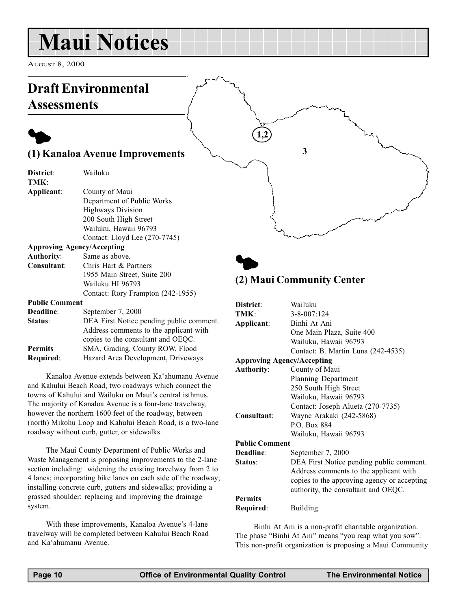# <span id="page-9-0"></span>Maui Notices

AUGUST 8, 2000



and Kahului Beach Road, two roadways which connect the towns of Kahului and Wailuku on Maui's central isthmus. The majority of Kanaloa Avenue is a four-lane travelway, however the northern 1600 feet of the roadway, between (north) Mikohu Loop and Kahului Beach Road, is a two-lane roadway without curb, gutter, or sidewalks.

The Maui County Department of Public Works and Waste Management is proposing improvements to the 2-lane section including: widening the existing travelway from 2 to 4 lanes; incorporating bike lanes on each side of the roadway; installing concrete curb, gutters and sidewalks; providing a grassed shoulder; replacing and improving the drainage system.

With these improvements, Kanaloa Avenue's 4-lane travelway will be completed between Kahului Beach Road and Ka'ahumanu Avenue.

Required: Building

Permits

Public Comment

250 South High Street Wailuku, Hawaii 96793

Wailuku, Hawaii 96793

Status: DEA First Notice pending public comment.

Consultant: Wayne Arakaki (242-5868) P.O. Box 884

Deadline: September 7, 2000

Contact: Joseph Alueta (270-7735)

Address comments to the applicant with copies to the approving agency or accepting authority, the consultant and OEQC.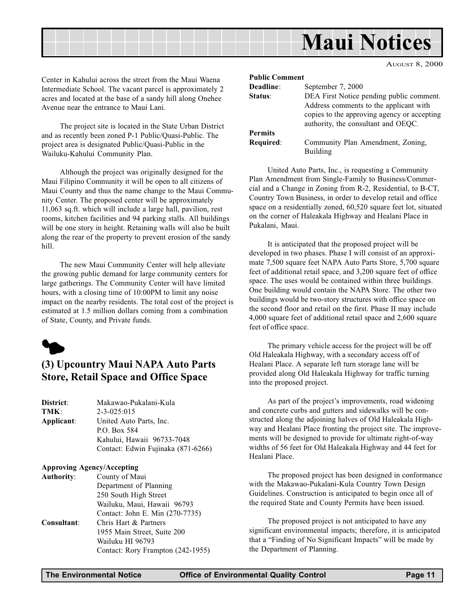<span id="page-10-0"></span>

Center in Kahului across the street from the Maui Waena Intermediate School. The vacant parcel is approximately 2 acres and located at the base of a sandy hill along Onehee Avenue near the entrance to Maui Lani.

The project site is located in the State Urban District and as recently been zoned P-1 Public/Quasi-Public. The project area is designated Public/Quasi-Public in the Wailuku-Kahului Community Plan.

Although the project was originally designed for the Maui Filipino Community it will be open to all citizens of Maui County and thus the name change to the Maui Community Center. The proposed center will be approximately 11,063 sq.ft. which will include a large hall, pavilion, rest rooms, kitchen facilities and 94 parking stalls. All buildings will be one story in height. Retaining walls will also be built along the rear of the property to prevent erosion of the sandy hill.

The new Maui Community Center will help alleviate the growing public demand for large community centers for large gatherings. The Community Center will have limited hours, with a closing time of 10:00PM to limit any noise impact on the nearby residents. The total cost of the project is estimated at 1.5 million dollars coming from a combination of State, County, and Private funds.



## (3) Upcountry Maui NAPA Auto Parts Store, Retail Space and Office Space

| District:  | Makawao-Pukalani-Kula              |  |  |
|------------|------------------------------------|--|--|
| TMK:       | $2 - 3 - 025:015$                  |  |  |
| Applicant: | United Auto Parts, Inc.            |  |  |
|            | P.O. Box 584                       |  |  |
|            | Kahului, Hawaii 96733-7048         |  |  |
|            | Contact: Edwin Fujinaka (871-6266) |  |  |

#### Approving Agency/Accepting

| <b>Authority:</b> | County of Maui                    |
|-------------------|-----------------------------------|
|                   | Department of Planning            |
|                   | 250 South High Street             |
|                   | Wailuku, Maui, Hawaii 96793       |
|                   | Contact: John E. Min (270-7735)   |
| Consultant:       | Chris Hart & Partners             |
|                   | 1955 Main Street, Suite 200       |
|                   | Wailuku HI 96793                  |
|                   | Contact: Rory Frampton (242-1955) |

| <b>Public Comment</b> |                                             |
|-----------------------|---------------------------------------------|
| Deadline:             | September 7, 2000                           |
| Status:               | DEA First Notice pending public comment.    |
|                       | Address comments to the applicant with      |
|                       | copies to the approving agency or accepting |
|                       | authority, the consultant and OEQC.         |
| <b>Permits</b>        |                                             |
| Required:             | Community Plan Amendment, Zoning,           |
|                       | Building                                    |

United Auto Parts, Inc., is requesting a Community Plan Amendment from Single-Family to Business/Commercial and a Change in Zoning from R-2, Residential, to B-CT, Country Town Business, in order to develop retail and office space on a residentially zoned, 60,520 square feet lot, situated on the corner of Haleakala Highway and Healani Place in Pukalani, Maui.

It is anticipated that the proposed project will be developed in two phases. Phase I will consist of an approximate 7,500 square feet NAPA Auto Parts Store, 5,700 square feet of additional retail space, and 3,200 square feet of office space. The uses would be contained within three buildings. One building would contain the NAPA Store. The other two buildings would be two-story structures with office space on the second floor and retail on the first. Phase II may include 4,000 square feet of additional retail space and 2,600 square feet of office space.

The primary vehicle access for the project will be off Old Haleakala Highway, with a secondary access off of Healani Place. A separate left turn storage lane will be provided along Old Haleakala Highway for traffic turning into the proposed project.

As part of the project's improvements, road widening and concrete curbs and gutters and sidewalks will be constructed along the adjoining halves of Old Haleakala Highway and Healani Place fronting the project site. The improvements will be designed to provide for ultimate right-of-way widths of 56 feet for Old Haleakala Highway and 44 feet for Healani Place.

The proposed project has been designed in conformance with the Makawao-Pukalani-Kula Country Town Design Guidelines. Construction is anticipated to begin once all of the required State and County Permits have been issued.

The proposed project is not anticipated to have any significant environmental impacts; therefore, it is anticipated that a "Finding of No Significant Impacts" will be made by the Department of Planning.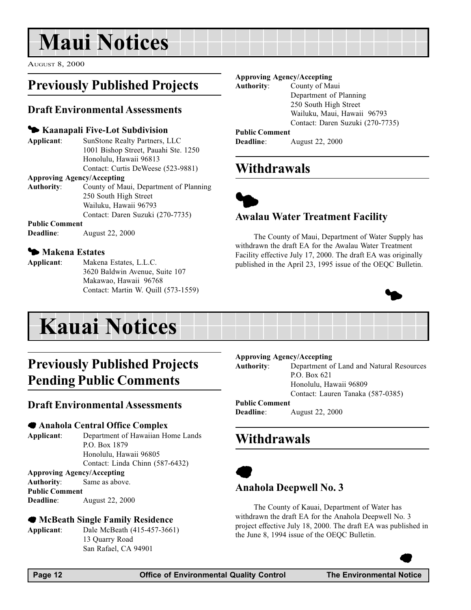# <span id="page-11-0"></span>Maui Notices

AUGUST 8, 2000

# Previously Published Projects

### Draft Environmental Assessments

#### $\blacktriangleright$  **Kaanapali Five-Lot Subdivision**

Applicant: SunStone Realty Partners, LLC 1001 Bishop Street, Pauahi Ste. 1250 Honolulu, Hawaii 96813 Contact: Curtis DeWeese (523-9881)

#### Approving Agency/Accepting

Authority: County of Maui, Department of Planning 250 South High Street Wailuku, Hawaii 96793 Contact: Daren Suzuki (270-7735)

#### Public Comment

Deadline: August 22, 2000

#### **5 Makena Estates**

Applicant: Makena Estates, L.L.C. 3620 Baldwin Avenue, Suite 107 Makawao, Hawaii 96768 Contact: Martin W. Quill (573-1559)

# Previously Published Projects Pending Public Comments

#### Draft Environmental Assessments

#### 7 Anahola Central Office Complex

Applicant: Department of Hawaiian Home Lands P.O. Box 1879 Honolulu, Hawaii 96805 Contact: Linda Chinn (587-6432)

### Approving Agency/Accepting

Authority: Same as above. Public Comment Deadline: August 22, 2000

#### 7 McBeath Single Family Residence

Applicant: Dale McBeath (415-457-3661) 13 Quarry Road San Rafael, CA 94901

#### Approving Agency/Accepting

Authority: County of Maui

Department of Planning 250 South High Street Wailuku, Maui, Hawaii 96793 Contact: Daren Suzuki (270-7735)

#### Public Comment

Deadline: August 22, 2000

# Withdrawals



### Awalau Water Treatment Facility

The County of Maui, Department of Water Supply has withdrawn the draft EA for the Awalau Water Treatment Facility effective July 17, 2000. The draft EA was originally published in the April 23, 1995 issue of the OEQC Bulletin.



| <b>Kauai Notices</b> |  |  |  |  |
|----------------------|--|--|--|--|

#### Approving Agency/Accepting

Authority: Department of Land and Natural Resources P.O. Box 621 Honolulu, Hawaii 96809 Contact: Lauren Tanaka (587-0385) Public Comment

Deadline: August 22, 2000

# **Withdrawals**



#### Anahola Deepwell No. 3

The County of Kauai, Department of Water has withdrawn the draft EA for the Anahola Deepwell No. 3 project effective July 18, 2000. The draft EA was published in the June 8, 1994 issue of the OEQC Bulletin.

 $\bullet$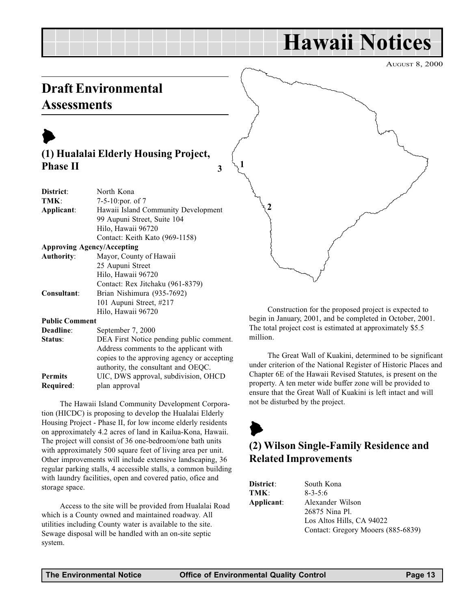# Hawaii Notices

AUGUST 8, 2000

# <span id="page-12-0"></span>Draft Environmental **Assessments**



| District:             | North Kona                                  |  |  |
|-----------------------|---------------------------------------------|--|--|
|                       |                                             |  |  |
| TMK:                  | 7-5-10:por. of $7$                          |  |  |
| Applicant:            | Hawaii Island Community Development         |  |  |
|                       | 99 Aupuni Street, Suite 104                 |  |  |
|                       | Hilo, Hawaii 96720                          |  |  |
|                       | Contact: Keith Kato (969-1158)              |  |  |
|                       | <b>Approving Agency/Accepting</b>           |  |  |
| <b>Authority:</b>     | Mayor, County of Hawaii                     |  |  |
|                       | 25 Aupuni Street                            |  |  |
|                       | Hilo, Hawaii 96720                          |  |  |
|                       | Contact: Rex Jitchaku (961-8379)            |  |  |
| Consultant:           | Brian Nishimura (935-7692)                  |  |  |
|                       | 101 Aupuni Street, #217                     |  |  |
|                       | Hilo, Hawaii 96720                          |  |  |
| <b>Public Comment</b> |                                             |  |  |
| Deadline:             | September 7, 2000                           |  |  |
| Status:               | DEA First Notice pending public comment.    |  |  |
|                       | Address comments to the applicant with      |  |  |
|                       | copies to the approving agency or accepting |  |  |
|                       | authority, the consultant and OEQC.         |  |  |
| <b>Permits</b>        | UIC, DWS approval, subdivision, OHCD        |  |  |
| Required:             | plan approval                               |  |  |

The Hawaii Island Community Development Corporation (HICDC) is proposing to develop the Hualalai Elderly Housing Project - Phase II, for low income elderly residents on approximately 4.2 acres of land in Kailua-Kona, Hawaii. The project will consist of 36 one-bedroom/one bath units with approximately 500 square feet of living area per unit. Other improvements will include extensive landscaping, 36 regular parking stalls, 4 accessible stalls, a common building with laundry facilities, open and covered patio, ofice and storage space.

Access to the site will be provided from Hualalai Road which is a County owned and maintained roadway. All utilities including County water is available to the site. Sewage disposal will be handled with an on-site septic system.

2

Construction for the proposed project is expected to begin in January, 2001, and be completed in October, 2001. The total project cost is estimated at approximately \$5.5 million.

The Great Wall of Kuakini, determined to be significant under criterion of the National Register of Historic Places and Chapter 6E of the Hawaii Revised Statutes, is present on the property. A ten meter wide buffer zone will be provided to ensure that the Great Wall of Kuakini is left intact and will not be disturbed by the project.

# $\blacktriangleright$ (2) Wilson Single-Family Residence and Related Improvements

| District:  | South Kona                         |
|------------|------------------------------------|
| TMK:       | $8 - 3 - 5:6$                      |
| Applicant: | Alexander Wilson                   |
|            | 26875 Nina Pl.                     |
|            | Los Altos Hills, CA 94022          |
|            | Contact: Gregory Mooers (885-6839) |

1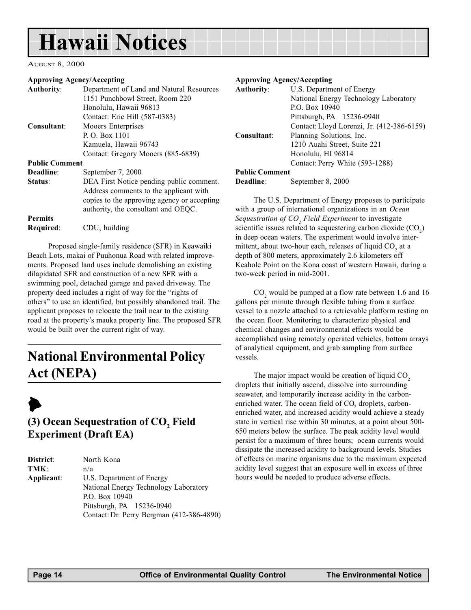# <span id="page-13-0"></span>Hawaii Notices

AUGUST 8, 2000

#### Approving Agency/Accepting

| <b>Authority:</b>     | Department of Land and Natural Resources    | <b>Authority:</b>  |
|-----------------------|---------------------------------------------|--------------------|
|                       | 1151 Punchbowl Street, Room 220             |                    |
|                       | Honolulu, Hawaii 96813                      |                    |
|                       | Contact: Eric Hill (587-0383)               |                    |
| Consultant:           | Mooers Enterprises                          |                    |
|                       | P. O. Box 1101                              | Consultant:        |
|                       | Kamuela, Hawaii 96743                       |                    |
|                       | Contact: Gregory Mooers (885-6839)          |                    |
| <b>Public Comment</b> |                                             |                    |
| Deadline:             | September 7, 2000                           | <b>Public Comn</b> |
| Status:               | DEA First Notice pending public comment.    | Deadline:          |
|                       | Address comments to the applicant with      |                    |
|                       | copies to the approving agency or accepting | The U.S            |
|                       | authority, the consultant and OEQC.         | with a group       |
| <b>Permits</b>        |                                             | Sequestration      |
| Required:             | CDU, building                               | scientific issu    |

 Proposed single-family residence (SFR) in Keawaiki Beach Lots, makai of Puuhonua Road with related improvements. Proposed land uses include demolishing an existing dilapidated SFR and construction of a new SFR with a swimming pool, detached garage and paved driveway. The property deed includes a right of way for the "rights of others" to use an identified, but possibly abandoned trail. The applicant proposes to relocate the trail near to the existing road at the property's mauka property line. The proposed SFR would be built over the current right of way.

# National Environmental Policy Act (NEPA)

# $\blacktriangleright$

## (3) Ocean Sequestration of  $\mathrm{CO}_2$  Field Experiment (Draft EA)

| District:  | North Kona                                |
|------------|-------------------------------------------|
| TMK:       | n/a                                       |
| Applicant: | U.S. Department of Energy                 |
|            | National Energy Technology Laboratory     |
|            | P.O. Box 10940                            |
|            | Pittsburgh, PA 15236-0940                 |
|            | Contact: Dr. Perry Bergman (412-386-4890) |

#### Approving Agency/Accepting

| <b>Authority:</b>     | U.S. Department of Energy                  |
|-----------------------|--------------------------------------------|
|                       | National Energy Technology Laboratory      |
|                       | P.O. Box 10940                             |
|                       | Pittsburgh, PA 15236-0940                  |
|                       | Contact: Lloyd Lorenzi, Jr. (412-386-6159) |
| Consultant:           | Planning Solutions, Inc.                   |
|                       | 1210 Auahi Street, Suite 221               |
|                       | Honolulu, HI 96814                         |
|                       | Contact: Perry White (593-1288)            |
| <b>Public Comment</b> |                                            |

September 8, 2000

S. Department of Energy proposes to participate of international organizations in an Ocean Sequestration of CO<sub>2</sub> Field Experiment to investigate scientific issues related to sequestering carbon dioxide  $(CO_2)$ in deep ocean waters. The experiment would involve intermittent, about two-hour each, releases of liquid  $\mathrm{CO}_2^{\phantom{\dag}}$  at a depth of 800 meters, approximately 2.6 kilometers off Keahole Point on the Kona coast of western Hawaii, during a two-week period in mid-2001.

 $\rm CO_{2}$  would be pumped at a flow rate between 1.6 and 16 gallons per minute through flexible tubing from a surface vessel to a nozzle attached to a retrievable platform resting on the ocean floor. Monitoring to characterize physical and chemical changes and environmental effects would be accomplished using remotely operated vehicles, bottom arrays of analytical equipment, and grab sampling from surface vessels.

The major impact would be creation of liquid  $CO<sub>2</sub>$ droplets that initially ascend, dissolve into surrounding seawater, and temporarily increase acidity in the carbonenriched water. The ocean field of  $CO<sub>2</sub>$  droplets, carbonenriched water, and increased acidity would achieve a steady state in vertical rise within 30 minutes, at a point about 500- 650 meters below the surface. The peak acidity level would persist for a maximum of three hours; ocean currents would dissipate the increased acidity to background levels. Studies of effects on marine organisms due to the maximum expected acidity level suggest that an exposure well in excess of three hours would be needed to produce adverse effects.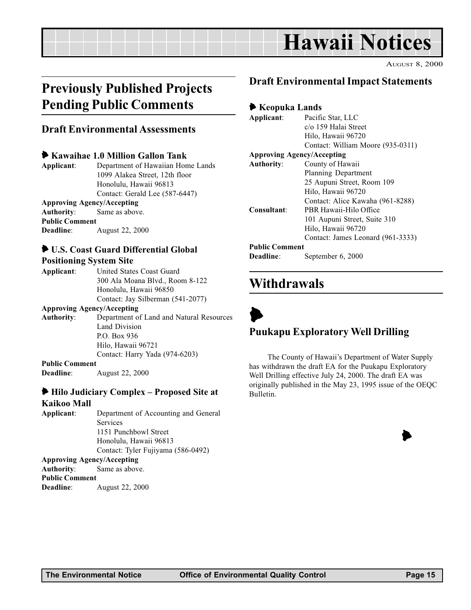# Hawaii Notices

AUGUST 8, 2000

# <span id="page-14-0"></span>Previously Published Projects Pending Public Comments

### Draft Environmental Assessments

#### 6 Kawaihae 1.0 Million Gallon Tank

Applicant: Department of Hawaiian Home Lands 1099 Alakea Street, 12th floor Honolulu, Hawaii 96813 Contact: Gerald Lee (587-6447) Approving Agency/Accepting Authority: Same as above.

Public Comment Deadline: August 22, 2000

### 6 U.S. Coast Guard Differential Global

#### Positioning System Site

| Applicant: | United States Coast Guard         |
|------------|-----------------------------------|
|            | 300 Ala Moana Blvd., Room 8-122   |
|            | Honolulu, Hawaii 96850            |
|            | Contact: Jay Silberman (541-2077) |
|            |                                   |

#### Approving Agency/Accepting

Authority: Department of Land and Natural Resources Land Division P.O. Box 936 Hilo, Hawaii 96721 Contact: Harry Yada (974-6203)

#### Public Comment

Deadline: August 22, 2000

#### $\blacktriangleright$  Hilo Judiciary Complex – Proposed Site at Kaikoo Mall

Applicant: Department of Accounting and General Services 1151 Punchbowl Street Honolulu, Hawaii 96813 Contact: Tyler Fujiyama (586-0492) Approving Agency/Accepting

Authority: Same as above. Public Comment Deadline: August 22, 2000

## Draft Environmental Impact Statements

#### 6 Keopuka Lands

| Applicant:                        | Pacific Star, LLC                 |  |  |
|-----------------------------------|-----------------------------------|--|--|
|                                   | c/o 159 Halai Street              |  |  |
|                                   | Hilo, Hawaii 96720                |  |  |
|                                   | Contact: William Moore (935-0311) |  |  |
| <b>Approving Agency/Accepting</b> |                                   |  |  |
| <b>Authority:</b>                 | County of Hawaii                  |  |  |
|                                   | Planning Department               |  |  |
|                                   | 25 Aupuni Street, Room 109        |  |  |
|                                   | Hilo, Hawaii 96720                |  |  |
|                                   | Contact: Alice Kawaha (961-8288)  |  |  |
| Consultant:                       | PBR Hawaii-Hilo Office            |  |  |
|                                   | 101 Aupuni Street, Suite 310      |  |  |
|                                   | Hilo, Hawaii 96720                |  |  |
|                                   | Contact: James Leonard (961-3333) |  |  |
| <b>Public Comment</b>             |                                   |  |  |
| Deadline:                         | September 6, 2000                 |  |  |

# Withdrawals



# Puukapu Exploratory Well Drilling

The County of Hawaii's Department of Water Supply has withdrawn the draft EA for the Puukapu Exploratory Well Drilling effective July 24, 2000. The draft EA was originally published in the May 23, 1995 issue of the OEQC Bulletin.

 $\blacktriangleright$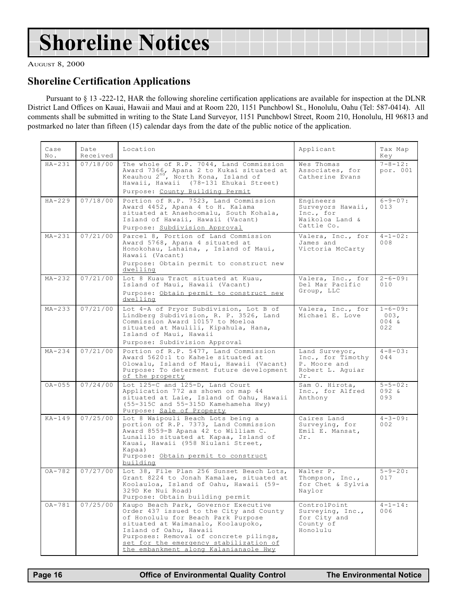# Shoreline Notices

AUGUST 8, 2000

### Shoreline Certification Applications

Pursuant to § 13 -222-12, HAR the following shoreline certification applications are available for inspection at the DLNR District Land Offices on Kauai, Hawaii and Maui and at Room 220, 1151 Punchbowl St., Honolulu, Oahu (Tel: 587-0414). All comments shall be submitted in writing to the State Land Surveyor, 1151 Punchbowl Street, Room 210, Honolulu, HI 96813 and postmarked no later than fifteen (15) calendar days from the date of the public notice of the application.

| Case<br>No. | Date<br>Received | Location                                                                                                                                                                                                                                                                                                           | Applicant                                                                      | Tax Map<br>Key                           |
|-------------|------------------|--------------------------------------------------------------------------------------------------------------------------------------------------------------------------------------------------------------------------------------------------------------------------------------------------------------------|--------------------------------------------------------------------------------|------------------------------------------|
| $HA-231$    | 07/18/00         | The whole of R.P. 7044, Land Commission<br>Award 7366, Apana 2 to Kukai situated at<br>Keauhou 2 <sup>nd</sup> , North Kona, Island of<br>Hawaii, Hawaii (78-131 Ehukai Street)                                                                                                                                    | Wes Thomas<br>Associates, for<br>Catherine Evans                               | $7 - 8 - 12:$<br>por. 001                |
|             |                  | Purpose: County Building Permit                                                                                                                                                                                                                                                                                    |                                                                                |                                          |
| $HA-229$    | 07/18/00         | Portion of R.P. 7523, Land Commission<br>Award 4452, Apana 4 to H. Kalama<br>situated at Anaehoomalu, South Kohala,<br>Island of Hawaii, Hawaii (Vacant)<br>Purpose: Subdivision Approval                                                                                                                          | Engineers<br>Surveyors Hawaii,<br>Inc., for<br>Waikoloa Land &<br>Cattle Co.   | $6 - 9 - 07:$<br>013                     |
| $MA-231$    | 07/21/00         | Parcel 8, Portion of Land Commission<br>Award 5768, Apana 4 situated at<br>Honokohau, Lahaina, , Island of Maui,<br>Hawaii (Vacant)<br>Purpose: Obtain permit to construct new<br>dwelling                                                                                                                         | Valera, Inc., for<br>James and<br>Victoria McCarty                             | $4 - 1 - 02$ :<br>$008$                  |
| $MA-232$    | 07/21/00         | Lot 8 Kuau Tract situated at Kuau,<br>Island of Maui, Hawaii (Vacant)<br>Purpose: Obtain permit to construct new<br>dwelling                                                                                                                                                                                       | Valera, Inc., for<br>Del Mar Pacific<br>Group, LLC                             | $2 - 6 - 09:$<br>010                     |
| $MA-233$    | 07/21/00         | Lot 4-A of Pryor Subdivision, Lot B of<br>Lindberg Subdivision, R. P. 3526, Land<br>Commission Award 10157 to Moeloa<br>situated at Maulili, Kipahula, Hana,<br>Island of Maui, Hawaii<br>Purpose: Subdivision Approval                                                                                            | Valera, Inc., for<br>Michael E. Love                                           | $1 - 6 - 09:$<br>003,<br>$004 \&$<br>022 |
| $MA-234$    | 07/21/00         | Portion of R.P. 5477, Land Commission<br>Award 5620:1 to Kahele situated at<br>Olowalu, Island of Maui, Hawaii (Vacant)<br>Purpose: To determent future development<br>of the property                                                                                                                             | Land Surveyor,<br>Inc., for Timothy<br>P. Moore and<br>Robert L. Aquiar<br>Jr. | $4 - 8 - 03:$<br>044                     |
| $OA - 055$  | 07/24/00         | Lot 125-C and 125-D, Land Court<br>Application 772 as shown on map 44<br>situated at Laie, Island of Oahu, Hawaii<br>(55-315C and 55-315D Kamehameha Hwy)<br>Purpose: Sale of Property                                                                                                                             | Sam O. Hirota,<br>Inc., for Alfred<br>Anthony                                  | $5 - 5 - 02:$<br>$092 \&$<br>093         |
| $KA-149$    | 07/25/00         | Lot 8 Waipouli Beach Lots being a<br>portion of R.P. 7373, Land Commission<br>Award 8559-B Apana 42 to William C.<br>Lunalilo situated at Kapaa, Island of<br>Kauai, Hawaii (958 Niulani Street,<br>Kapaa)<br>Purpose: Obtain permit to construct<br>building                                                      | Caires Land<br>Surveying, for<br>Emil E. Mansat,<br>Jr.                        | $4 - 3 - 09$ :<br>002                    |
| $OA-782$    | 07/27/00         | Lot 38, File Plan 256 Sunset Beach Lots,<br>Grant 8224 to Jonah Kamalae, situated at<br>Koolauloa, Island of Oahu, Hawaii (59-<br>329D Ke Nui Road)<br>Purpose: Obtain building permit                                                                                                                             | Walter P.<br>Thompson, Inc.,<br>for Chet & Sylvia<br>Naylor                    | $5 - 9 - 20:$<br>017                     |
| OA-781      | 07/25/00         | Kaupo Beach Park, Governor Executive<br>Order 437 issued to the City and County<br>of Honolulu for Beach Park Purpose<br>situated at Waimanalo, Koolaupoko,<br>Island of Oahu, Hawaii<br>Purposes: Removal of concrete pilings,<br>set for the emergency stabilization of<br>the embankment along Kalanianaole Hwy | ControlPoint<br>Surveying, Inc.,<br>for City and<br>County of<br>Honolulu      | $4 - 1 - 14$ :<br>006                    |

J.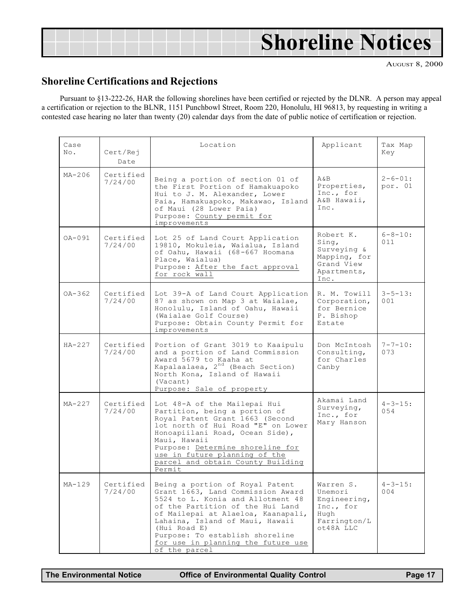<span id="page-16-0"></span>

|  | <b>Shoreline Notices</b> |
|--|--------------------------|
|  |                          |

### Shoreline Certifications and Rejections

Pursuant to §13-222-26, HAR the following shorelines have been certified or rejected by the DLNR. A person may appeal a certification or rejection to the BLNR, 1151 Punchbowl Street, Room 220, Honolulu, HI 96813, by requesting in writing a contested case hearing no later than twenty (20) calendar days from the date of public notice of certification or rejection.

| Case<br>No. | Cert/Rej<br>Date     | Applicant<br>Location                                                                                                                                                                                                                                                                                                            |                                                                                        | Tax Map<br>Key           |
|-------------|----------------------|----------------------------------------------------------------------------------------------------------------------------------------------------------------------------------------------------------------------------------------------------------------------------------------------------------------------------------|----------------------------------------------------------------------------------------|--------------------------|
| $MA-206$    | Certified<br>7/24/00 | Being a portion of section 01 of<br>the First Portion of Hamakuapoko<br>Hui to J. M. Alexander, Lower<br>Paia, Hamakuapoko, Makawao, Island<br>of Maui (28 Lower Paia)<br>Purpose: County permit for<br>improvements                                                                                                             | A & B<br>Properties,<br>Inc., for<br>A&B Hawaii,<br>Tnc.                               | $2 - 6 - 01:$<br>por. 01 |
| $OA-091$    | Certified<br>7/24/00 | Lot 25 of Land Court Application<br>19810, Mokuleia, Waialua, Island<br>of Oahu, Hawaii (68-667 Hoomana<br>Place, Waialua)<br>Purpose: After the fact approval<br>for rock wall                                                                                                                                                  | Robert K.<br>Sing,<br>Surveying &<br>Mapping, for<br>Grand View<br>Apartments,<br>Inc. | $6 - 8 - 10:$<br>011     |
| $OA - 362$  | Certified<br>7/24/00 | Lot 39-A of Land Court Application<br>87 as shown on Map 3 at Waialae,<br>Honolulu, Island of Oahu, Hawaii<br>(Waialae Golf Course)<br>Purpose: Obtain County Permit for<br>improvements                                                                                                                                         | R. M. Towill<br>Corporation,<br>for Bernice<br>P. Bishop<br>Estate                     | $3 - 5 - 13:$<br>001     |
| $HA - 227$  | Certified<br>7/24/00 | Portion of Grant 3019 to Kaaipulu<br>and a portion of Land Commission<br>Award 5679 to Kaaha at<br>Kapalaalaea, 2 <sup>nd</sup> (Beach Section)<br>North Kona, Island of Hawaii<br>(Vacant)<br>Purpose: Sale of property                                                                                                         | Don McIntosh<br>Consulting,<br>for Charles<br>Canby                                    | $7 - 7 - 10:$<br>073     |
| $MA-227$    | Certified<br>7/24/00 | Lot 48-A of the Mailepai Hui<br>Partition, being a portion of<br>Royal Patent Grant 1663 (Second<br>lot north of Hui Road "E" on Lower<br>Honoapiilani Road, Ocean Side),<br>Maui, Hawaii<br>Purpose: Determine shoreline for<br>use in future planning of the<br>parcel and obtain County Building<br>Permit                    | Akamai Land<br>Surveying,<br>Inc., for<br>Mary Hanson                                  | $4 - 3 - 15:$<br>054     |
| MA-129      | Certified<br>7/24/00 | Being a portion of Royal Patent<br>Grant 1663, Land Commission Award<br>5524 to L. Konia and Allotment 48<br>of the Partition of the Hui Land<br>of Mailepai at Alaeloa, Kaanapali,<br>Lahaina, Island of Maui, Hawaii<br>(Hui Road E)<br>Purpose: To establish shoreline<br>for use in planning the future use<br>of the parcel | Warren S.<br>Unemori<br>Engineering,<br>Inc., for<br>Hugh<br>Farrington/L<br>ot48A LLC | $4 - 3 - 15:$<br>004     |

The Environmental Notice **Office of Environmental Quality Control** Page 17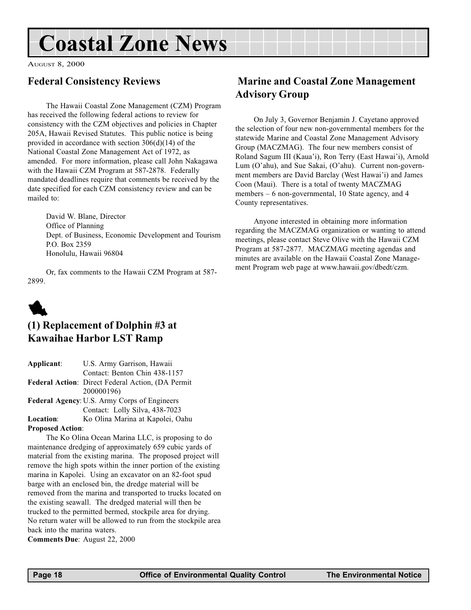# <span id="page-17-0"></span>Coastal Zone News

AUGUST 8, 2000

### Federal Consistency Reviews

The Hawaii Coastal Zone Management (CZM) Program has received the following federal actions to review for consistency with the CZM objectives and policies in Chapter 205A, Hawaii Revised Statutes. This public notice is being provided in accordance with section 306(d)(14) of the National Coastal Zone Management Act of 1972, as amended. For more information, please call John Nakagawa with the Hawaii CZM Program at 587-2878. Federally mandated deadlines require that comments be received by the date specified for each CZM consistency review and can be mailed to:

David W. Blane, Director Office of Planning Dept. of Business, Economic Development and Tourism P.O. Box 2359 Honolulu, Hawaii 96804

Or, fax comments to the Hawaii CZM Program at 587- 2899.

# 1

# (1) Replacement of Dolphin #3 at Kawaihae Harbor LST Ramp

| Applicant:                                   | U.S. Army Garrison, Hawaii                               |  |  |
|----------------------------------------------|----------------------------------------------------------|--|--|
|                                              | Contact: Benton Chin 438-1157                            |  |  |
|                                              | <b>Federal Action:</b> Direct Federal Action, (DA Permit |  |  |
|                                              | 200000196)                                               |  |  |
| Federal Agency: U.S. Army Corps of Engineers |                                                          |  |  |
|                                              | Contact: Lolly Silva, 438-7023                           |  |  |

Location: Ko Olina Marina at Kapolei, Oahu Proposed Action:

The Ko Olina Ocean Marina LLC, is proposing to do maintenance dredging of approximately 659 cubic yards of material from the existing marina. The proposed project will remove the high spots within the inner portion of the existing marina in Kapolei. Using an excavator on an 82-foot spud barge with an enclosed bin, the dredge material will be removed from the marina and transported to trucks located on the existing seawall. The dredged material will then be trucked to the permitted bermed, stockpile area for drying. No return water will be allowed to run from the stockpile area back into the marina waters.

Comments Due: August 22, 2000

## Marine and Coastal Zone Management Advisory Group

On July 3, Governor Benjamin J. Cayetano approved the selection of four new non-governmental members for the statewide Marine and Coastal Zone Management Advisory Group (MACZMAG). The four new members consist of Roland Sagum III (Kaua'i), Ron Terry (East Hawai'i), Arnold Lum (O'ahu), and Sue Sakai, (O'ahu). Current non-government members are David Barclay (West Hawai'i) and James Coon (Maui). There is a total of twenty MACZMAG members - 6 non-governmental, 10 State agency, and 4 County representatives.

Anyone interested in obtaining more information regarding the MACZMAG organization or wanting to attend meetings, please contact Steve Olive with the Hawaii CZM Program at 587-2877. MACZMAG meeting agendas and minutes are available on the Hawaii Coastal Zone Management Program web page at www.hawaii.gov/dbedt/czm.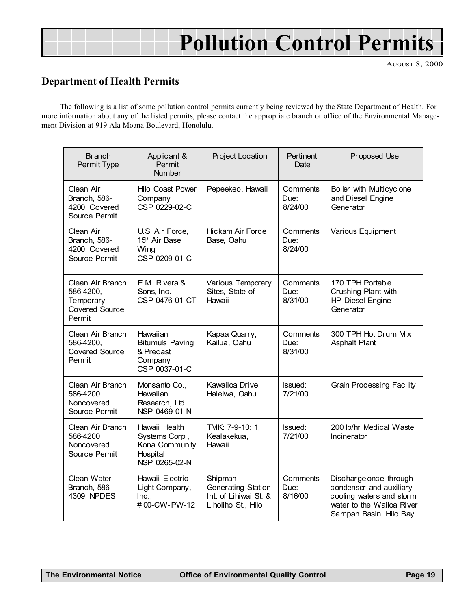# Pollution Control Permits

AUGUST 8, 2000

### Department of Health Permits

The following is a list of some pollution control permits currently being reviewed by the State Department of Health. For more information about any of the listed permits, please contact the appropriate branch or office of the Environmental Management Division at 919 Ala Moana Boulevard, Honolulu.

| <b>Branch</b><br>Permit Type                                                  | Applicant &<br>Permit<br><b>Number</b>                                         | Project Location                                                             | Pertinent<br>Date           | Proposed Use                                                                                                                         |
|-------------------------------------------------------------------------------|--------------------------------------------------------------------------------|------------------------------------------------------------------------------|-----------------------------|--------------------------------------------------------------------------------------------------------------------------------------|
| Clean Air<br>Branch, 586-<br>4200, Covered<br>Source Permit                   | <b>Hilo Coast Power</b><br>Company<br>CSP 0229-02-C                            | Pepeekeo, Hawaii                                                             | Comments<br>Due:<br>8/24/00 | Boiler with Multicyclone<br>and Diesel Engine<br>Generator                                                                           |
| Clean Air<br>Branch, 586-<br>4200, Covered<br>Source Permit                   | U.S. Air Force,<br>15th Air Base<br>Wing<br>CSP 0209-01-C                      | <b>Hickam Air Force</b><br>Base, Oahu                                        | Comments<br>Due:<br>8/24/00 | Various Equipment                                                                                                                    |
| Clean Air Branch<br>586-4200,<br>Temporary<br><b>Covered Source</b><br>Permit | E.M. Rivera &<br>Sons, Inc.<br>CSP 0476-01-CT                                  | Various Temporary<br>Sites, State of<br>Hawaii                               | Comments<br>Due:<br>8/31/00 | 170 TPH Portable<br>Crushing Plant with<br><b>HP Diesel Engine</b><br>Generator                                                      |
| Clean Air Branch<br>586-4200,<br><b>Covered Source</b><br>Permit              | Hawaiian<br><b>Bitumuls Paving</b><br>& Precast<br>Company<br>CSP 0037-01-C    | Kapaa Quarry,<br>Kailua, Oahu                                                | Comments<br>Due:<br>8/31/00 | 300 TPH Hot Drum Mix<br><b>Asphalt Plant</b>                                                                                         |
| Clean Air Branch<br>586-4200<br>Noncovered<br>Source Permit                   | Monsanto Co.,<br>Hawaiian<br>Research, Ltd.<br>NSP 0469-01-N                   | Kawailoa Drive,<br>Haleiwa, Oahu                                             | Issued:<br>7/21/00          | Grain Processing Facility                                                                                                            |
| Clean Air Branch<br>586-4200<br>Noncovered<br>Source Permit                   | Hawaii Health<br>Systems Corp.,<br>Kona Community<br>Hospital<br>NSP 0265-02-N | TMK: 7-9-10: 1,<br>Kealakekua,<br>Hawaii                                     | Issued:<br>7/21/00          | 200 lb/hr Medical Waste<br>Incinerator                                                                                               |
| Clean Water<br>Branch, 586-<br>4309, NPDES                                    | Hawaii Electric<br>Light Company,<br>Inc.,<br>#00-CW-PW-12                     | Shipman<br>Generating Station<br>Int. of Lihiwai St. &<br>Liholiho St., Hilo | Comments<br>Due:<br>8/16/00 | Discharge once-through<br>condenser and auxiliary<br>cooling waters and storm<br>water to the Wailoa River<br>Sampan Basin, Hilo Bay |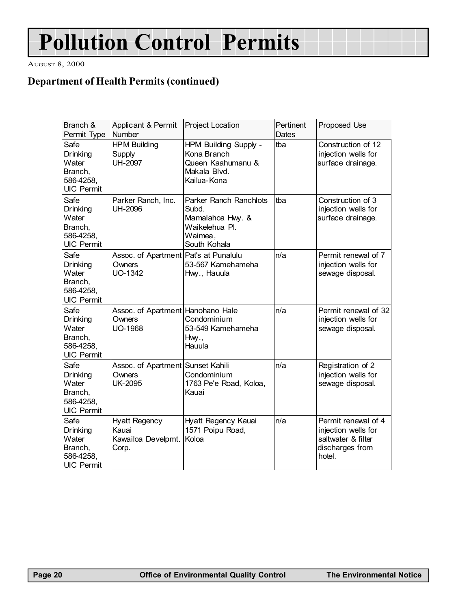# Pollution Control Permits

AUGUST 8, 2000

## Department of Health Permits (continued)

| Branch &<br>Permit Type                                                | Applicant & Permit<br>Number                                  | Project Location                                                                                 | Pertinent<br><b>Dates</b> | Proposed Use                                                                                  |
|------------------------------------------------------------------------|---------------------------------------------------------------|--------------------------------------------------------------------------------------------------|---------------------------|-----------------------------------------------------------------------------------------------|
| Safe<br>Drinking<br>Water<br>Branch,<br>586-4258,<br><b>UIC Permit</b> | <b>HPM Building</b><br>Supply<br><b>UH-2097</b>               | HPM Building Supply -<br>Kona Branch<br>Queen Kaahumanu &<br>Makala Blvd.<br>Kailua-Kona         | tba                       | Construction of 12<br>injection wells for<br>surface drainage.                                |
| Safe<br>Drinking<br>Water<br>Branch,<br>586-4258,<br><b>UIC Permit</b> | Parker Ranch, Inc.<br><b>UH-2096</b>                          | Parker Ranch Ranchlots<br>Subd.<br>Mamalahoa Hwy. &<br>Waikelehua Pl.<br>Waimea,<br>South Kohala | tha                       | Construction of 3<br>injection wells for<br>surface drainage.                                 |
| Safe<br>Drinking<br>Water<br>Branch,<br>586-4258,<br><b>UIC Permit</b> | Assoc. of Apartment Pat's at Punalulu<br>Owners<br>UO-1342    | 53-567 Kamehameha<br>Hwy., Hauula                                                                | n/a                       | Permit renewal of 7<br>injection wells for<br>sewage disposal.                                |
| Safe<br>Drinking<br>Water<br>Branch,<br>586-4258,<br><b>UIC Permit</b> | Assoc. of Apartment Hanohano Hale<br>Owners<br><b>UO-1968</b> | Condominium<br>53-549 Kamehameha<br>Hwy.,<br>Hauula                                              | n/a                       | Permit renewal of 32<br>injection wells for<br>sewage disposal.                               |
| Safe<br>Drinking<br>Water<br>Branch,<br>586-4258,<br><b>UIC Permit</b> | Assoc. of Apartment Sunset Kahili<br>Owners<br><b>UK-2095</b> | Condominium<br>1763 Pe'e Road, Koloa,<br>Kauai                                                   | n/a                       | Registration of 2<br>injection wells for<br>sewage disposal.                                  |
| Safe<br>Drinking<br>Water<br>Branch,<br>586-4258,<br><b>UIC Permit</b> | <b>Hyatt Regency</b><br>Kauai<br>Kawailoa Develpmt.<br>Corp.  | Hyatt Regency Kauai<br>1571 Poipu Road,<br>Koloa                                                 | n/a                       | Permit renewal of 4<br>injection wells for<br>saltwater & filter<br>discharges from<br>hotel. |